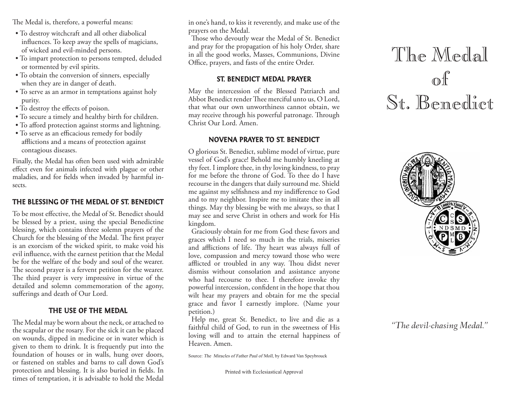The Medal is, therefore, a powerful means:

- To destroy witchcraft and all other diabolical influences. To keep away the spells of magicians, of wicked and evil-minded persons.
- To impart protection to persons tempted, deluded or tormented by evil spirits.
- To obtain the conversion of sinners, especially when they are in danger of death.
- To serve as an armor in temptations against holy purity.
- To destroy the effects of poison.
- To secure a timely and healthy birth for children.
- To afford protection against storms and lightning.
- To serve as an efficacious remedy for bodily afflictions and a means of protection against contagious diseases.

Finally, the Medal has often been used with admirable effect even for animals infected with plague or other maladies, and for fields when invaded by harmful insects.

## THE BLESSING OF THE MEDAL OF ST. BENEDICT

To be most effective, the Medal of St. Benedict should be blessed by a priest, using the special Benedictine blessing, which contains three solemn prayers of the Church for the blessing of the Medal. The first prayer is an exorcism of the wicked spirit, to make void his evil influence, with the earnest petition that the Medal be for the welfare of the body and soul of the wearer. The second prayer is a fervent petition for the wearer. The third prayer is very impressive in virtue of the detailed and solemn commemoration of the agony, sufferings and death of Our Lord.

# THE USE OF THE MEDAL

The Medal may be worn about the neck, or attached to the scapular or the rosary. For the sick it can be placed on wounds, dipped in medicine or in water which is given to them to drink. It is frequently put into the foundation of houses or in walls, hung over doors, or fastened on stables and barns to call down God's protection and blessing. It is also buried in fields. In times of temptation, it is advisable to hold the Medal in one's hand, to kiss it reverently, and make use of the prayers on the Medal.

Those who devoutly wear the Medal of St. Benedict and pray for the propagation of his holy Order, share in all the good works, Masses, Communions, Divine Office, prayers, and fasts of the entire Order.

# ST. BENEDICT MEDAL PRAYER

May the intercession of the Blessed Patriarch and Abbot Benedict render Thee merciful unto us, O Lord, that what our own unworthiness cannot obtain, we may receive through his powerful patronage. Through Christ Our Lord. Amen.

# NOVENA PRAYER TO ST. BENEDICT

O glorious St. Benedict, sublime model of virtue, pure vessel of God's grace! Behold me humbly kneeling at thy feet. I implore thee, in thy loving kindness, to pray for me before the throne of God. To thee do I have recourse in the dangers that daily surround me. Shield me against my selfishness and my indifference to God and to my neighbor. Inspire me to imitate thee in all things. May thy blessing be with me always, so that I may see and serve Christ in others and work for His kingdom.

Graciously obtain for me from God these favors and graces which I need so much in the trials, miseries and afflictions of life. Thy heart was always full of love, compassion and mercy toward those who were afflicted or troubled in any way. Thou didst never dismiss without consolation and assistance anyone who had recourse to thee. I therefore invoke thy powerful intercession, confident in the hope that thou wilt hear my prayers and obtain for me the special grace and favor I earnestly implore. (Name your petition.)

Help me, great St. Benedict, to live and die as a faithful child of God, to run in the sweetness of His loving will and to attain the eternal happiness of Heaven. Amen.

Source: The Miracles of Father Paul of Moll, by Edward Van Speybrouck

Printed with Ecclesiastical Approval

# The Medal of St. Benedict



# *"The devil-chasing Medal."*